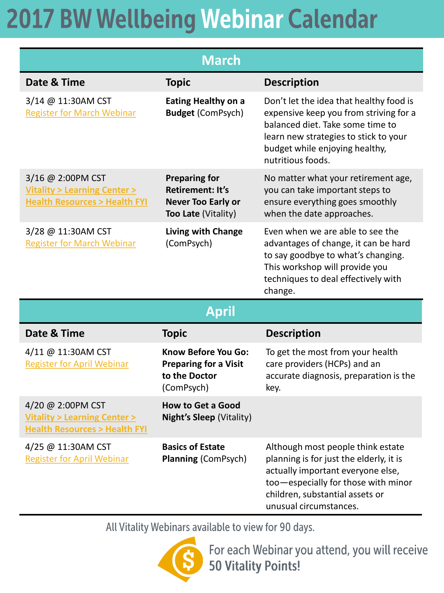| <b>March</b>                                                                                              |                                                                                                     |                                                                                                                                                                                                                       |  |  |
|-----------------------------------------------------------------------------------------------------------|-----------------------------------------------------------------------------------------------------|-----------------------------------------------------------------------------------------------------------------------------------------------------------------------------------------------------------------------|--|--|
| Date & Time                                                                                               | <b>Topic</b>                                                                                        | <b>Description</b>                                                                                                                                                                                                    |  |  |
| 3/14 @ 11:30AM CST<br><b>Register for March Webinar</b>                                                   | <b>Eating Healthy on a</b><br><b>Budget (ComPsych)</b>                                              | Don't let the idea that healthy food is<br>expensive keep you from striving for a<br>balanced diet. Take some time to<br>learn new strategies to stick to your<br>budget while enjoying healthy,<br>nutritious foods. |  |  |
| 3/16 @ 2:00PM CST<br><b>Vitality &gt; Learning Center &gt;</b><br><b>Health Resources &gt; Health FYI</b> | <b>Preparing for</b><br><b>Retirement: It's</b><br><b>Never Too Early or</b><br>Too Late (Vitality) | No matter what your retirement age,<br>you can take important steps to<br>ensure everything goes smoothly<br>when the date approaches.                                                                                |  |  |
| 3/28 @ 11:30AM CST<br><b>Register for March Webinar</b>                                                   | Living with Change<br>(ComPsych)                                                                    | Even when we are able to see the<br>advantages of change, it can be hard<br>to say goodbye to what's changing.<br>This workshop will provide you<br>techniques to deal effectively with<br>change.                    |  |  |
| <b>April</b>                                                                                              |                                                                                                     |                                                                                                                                                                                                                       |  |  |
| Date & Time                                                                                               | <b>Topic</b>                                                                                        | <b>Description</b>                                                                                                                                                                                                    |  |  |
| 4/11 @ 11:30AM CST<br><b>Register for April Webinar</b>                                                   | Know Before You Go:<br><b>Preparing for a Visit</b><br>to the Doctor<br>(ComPsych)                  | To get the most from your health<br>care providers (HCPs) and an<br>accurate diagnosis, preparation is the<br>key.                                                                                                    |  |  |
| 4/20 @ 2:00PM CST<br><b>Vitality &gt; Learning Center &gt;</b><br><b>Health Resources &gt; Health FYI</b> | <b>How to Get a Good</b><br><b>Night's Sleep (Vitality)</b>                                         |                                                                                                                                                                                                                       |  |  |
| 4/25 @ 11:30AM CST<br><b>Register for April Webinar</b>                                                   | <b>Basics of Estate</b><br><b>Planning (ComPsych)</b>                                               | Although most people think estate<br>planning is for just the elderly, it is                                                                                                                                          |  |  |

All Vitality Webinars available to view for 90 days.

actually important everyone else, too-especially for those with minor

children, substantial assets or

unusual circumstances.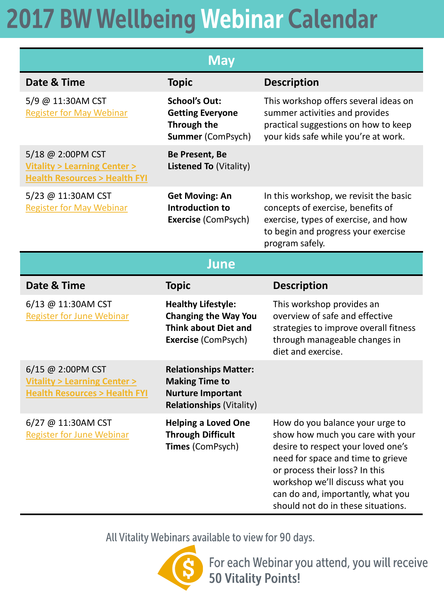| <b>May</b>                                                                                                |                                                                                                                       |                                                                                                                                                                                                                                                                                                |  |
|-----------------------------------------------------------------------------------------------------------|-----------------------------------------------------------------------------------------------------------------------|------------------------------------------------------------------------------------------------------------------------------------------------------------------------------------------------------------------------------------------------------------------------------------------------|--|
| Date & Time                                                                                               | <b>Topic</b>                                                                                                          | <b>Description</b>                                                                                                                                                                                                                                                                             |  |
| 5/9 @ 11:30AM CST<br><b>Register for May Webinar</b>                                                      | <b>School's Out:</b><br><b>Getting Everyone</b><br><b>Through the</b><br><b>Summer (ComPsych)</b>                     | This workshop offers several ideas on<br>summer activities and provides<br>practical suggestions on how to keep<br>your kids safe while you're at work.                                                                                                                                        |  |
| 5/18 @ 2:00PM CST<br><b>Vitality &gt; Learning Center &gt;</b><br><b>Health Resources &gt; Health FYI</b> | Be Present, Be<br><b>Listened To (Vitality)</b>                                                                       |                                                                                                                                                                                                                                                                                                |  |
| 5/23 @ 11:30AM CST<br><b>Register for May Webinar</b>                                                     | <b>Get Moving: An</b><br><b>Introduction to</b><br><b>Exercise (ComPsych)</b>                                         | In this workshop, we revisit the basic<br>concepts of exercise, benefits of<br>exercise, types of exercise, and how<br>to begin and progress your exercise<br>program safely.                                                                                                                  |  |
| <b>June</b>                                                                                               |                                                                                                                       |                                                                                                                                                                                                                                                                                                |  |
| Date & Time                                                                                               | <b>Topic</b>                                                                                                          | <b>Description</b>                                                                                                                                                                                                                                                                             |  |
| 6/13 @ 11:30AM CST<br><b>Register for June Webinar</b>                                                    | <b>Healthy Lifestyle:</b><br><b>Changing the Way You</b><br><b>Think about Diet and</b><br><b>Exercise (ComPsych)</b> | This workshop provides an<br>overview of safe and effective<br>strategies to improve overall fitness<br>through manageable changes in<br>diet and exercise.                                                                                                                                    |  |
| 6/15 @ 2:00PM CST<br><b>Vitality &gt; Learning Center &gt;</b><br><b>Health Resources &gt; Health FYI</b> | <b>Relationships Matter:</b><br><b>Making Time to</b><br><b>Nurture Important</b><br><b>Relationships (Vitality)</b>  |                                                                                                                                                                                                                                                                                                |  |
| 6/27 @ 11:30AM CST<br><b>Register for June Webinar</b>                                                    | <b>Helping a Loved One</b><br><b>Through Difficult</b><br>Times (ComPsych)                                            | How do you balance your urge to<br>show how much you care with your<br>desire to respect your loved one's<br>need for space and time to grieve<br>or process their loss? In this<br>workshop we'll discuss what you<br>can do and, importantly, what you<br>should not do in these situations. |  |

All Vitality Webinars available to view for 90 days.



For each Webinar you attend, you will receive **50 Vitality Points!**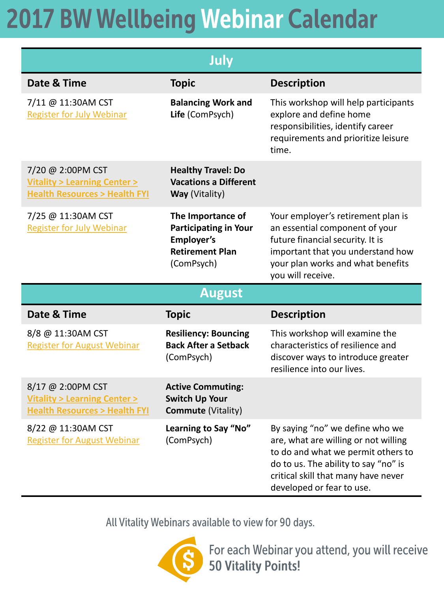| July                                                                                                      |                                                                                                                |                                                                                                                                                                                                                           |
|-----------------------------------------------------------------------------------------------------------|----------------------------------------------------------------------------------------------------------------|---------------------------------------------------------------------------------------------------------------------------------------------------------------------------------------------------------------------------|
| Date & Time                                                                                               | <b>Topic</b>                                                                                                   | <b>Description</b>                                                                                                                                                                                                        |
| 7/11 @ 11:30AM CST<br><b>Register for July Webinar</b>                                                    | <b>Balancing Work and</b><br>Life (ComPsych)                                                                   | This workshop will help participants<br>explore and define home<br>responsibilities, identify career<br>requirements and prioritize leisure<br>time.                                                                      |
| 7/20 @ 2:00PM CST<br><b>Vitality &gt; Learning Center &gt;</b><br><b>Health Resources &gt; Health FYI</b> | <b>Healthy Travel: Do</b><br><b>Vacations a Different</b><br>Way (Vitality)                                    |                                                                                                                                                                                                                           |
| 7/25 @ 11:30AM CST<br><b>Register for July Webinar</b>                                                    | The Importance of<br><b>Participating in Your</b><br><b>Employer's</b><br><b>Retirement Plan</b><br>(ComPsych) | Your employer's retirement plan is<br>an essential component of your<br>future financial security. It is<br>important that you understand how<br>your plan works and what benefits<br>you will receive.                   |
| <b>August</b>                                                                                             |                                                                                                                |                                                                                                                                                                                                                           |
| Date & Time                                                                                               | <b>Topic</b>                                                                                                   | <b>Description</b>                                                                                                                                                                                                        |
| 8/8 @ 11:30AM CST<br><b>Register for August Webinar</b>                                                   | <b>Resiliency: Bouncing</b><br><b>Back After a Setback</b><br>(ComPsych)                                       | This workshop will examine the<br>characteristics of resilience and<br>discover ways to introduce greater<br>resilience into our lives.                                                                                   |
| 8/17 @ 2:00PM CST<br><b>Vitality &gt; Learning Center &gt;</b><br><b>Health Resources &gt; Health FYI</b> | <b>Active Commuting:</b><br><b>Switch Up Your</b><br><b>Commute (Vitality)</b>                                 |                                                                                                                                                                                                                           |
| 8/22 @ 11:30AM CST<br><b>Register for August Webinar</b>                                                  | Learning to Say "No"<br>(ComPsych)                                                                             | By saying "no" we define who we<br>are, what are willing or not willing<br>to do and what we permit others to<br>do to us. The ability to say "no" is<br>critical skill that many have never<br>developed or fear to use. |

All Vitality Webinars available to view for 90 days.



For each Webinar you attend, you will receive<br>50 Vitality Points!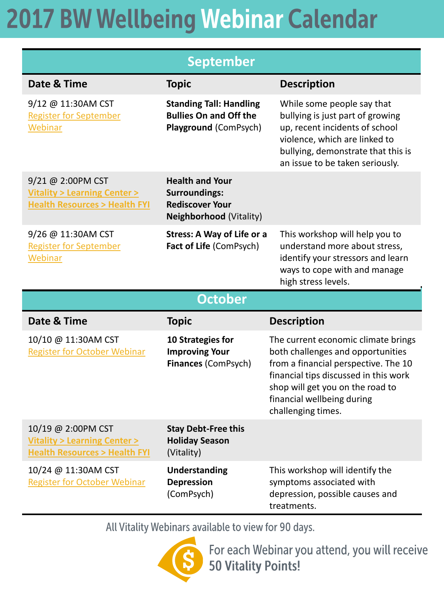| <b>September</b>                                                                                           |                                                                                                     |                                                                                                                                                                                                                                                   |  |  |
|------------------------------------------------------------------------------------------------------------|-----------------------------------------------------------------------------------------------------|---------------------------------------------------------------------------------------------------------------------------------------------------------------------------------------------------------------------------------------------------|--|--|
| Date & Time                                                                                                | <b>Topic</b>                                                                                        | <b>Description</b>                                                                                                                                                                                                                                |  |  |
| 9/12 @ 11:30AM CST<br><b>Register for September</b><br>Webinar                                             | <b>Standing Tall: Handling</b><br><b>Bullies On and Off the</b><br>Playground (ComPsych)            | While some people say that<br>bullying is just part of growing<br>up, recent incidents of school<br>violence, which are linked to<br>bullying, demonstrate that this is<br>an issue to be taken seriously.                                        |  |  |
| 9/21 @ 2:00PM CST<br><b>Vitality &gt; Learning Center &gt;</b><br><b>Health Resources &gt; Health FYI</b>  | <b>Health and Your</b><br><b>Surroundings:</b><br><b>Rediscover Your</b><br>Neighborhood (Vitality) |                                                                                                                                                                                                                                                   |  |  |
| 9/26 @ 11:30AM CST<br><b>Register for September</b><br>Webinar                                             | <b>Stress: A Way of Life or a</b><br>Fact of Life (ComPsych)                                        | This workshop will help you to<br>understand more about stress,<br>identify your stressors and learn<br>ways to cope with and manage<br>high stress levels.                                                                                       |  |  |
| <b>October</b>                                                                                             |                                                                                                     |                                                                                                                                                                                                                                                   |  |  |
| Date & Time                                                                                                | <b>Topic</b>                                                                                        | <b>Description</b>                                                                                                                                                                                                                                |  |  |
| 10/10 @ 11:30AM CST<br><b>Register for October Webinar</b>                                                 | 10 Strategies for<br><b>Improving Your</b><br>Finances (ComPsych)                                   | The current economic climate brings<br>both challenges and opportunities<br>from a financial perspective. The 10<br>financial tips discussed in this work<br>shop will get you on the road to<br>financial wellbeing during<br>challenging times. |  |  |
| 10/19 @ 2:00PM CST<br><b>Vitality &gt; Learning Center &gt;</b><br><b>Health Resources &gt; Health FYI</b> | <b>Stay Debt-Free this</b><br><b>Holiday Season</b><br>(Vitality)                                   |                                                                                                                                                                                                                                                   |  |  |
| 10/24 @ 11:30AM CST<br><b>Register for October Webinar</b>                                                 | <b>Understanding</b><br><b>Depression</b><br>(ComPsych)                                             | This workshop will identify the<br>symptoms associated with<br>depression, possible causes and<br>treatments.                                                                                                                                     |  |  |

All Vitality Webinars available to view for 90 days.